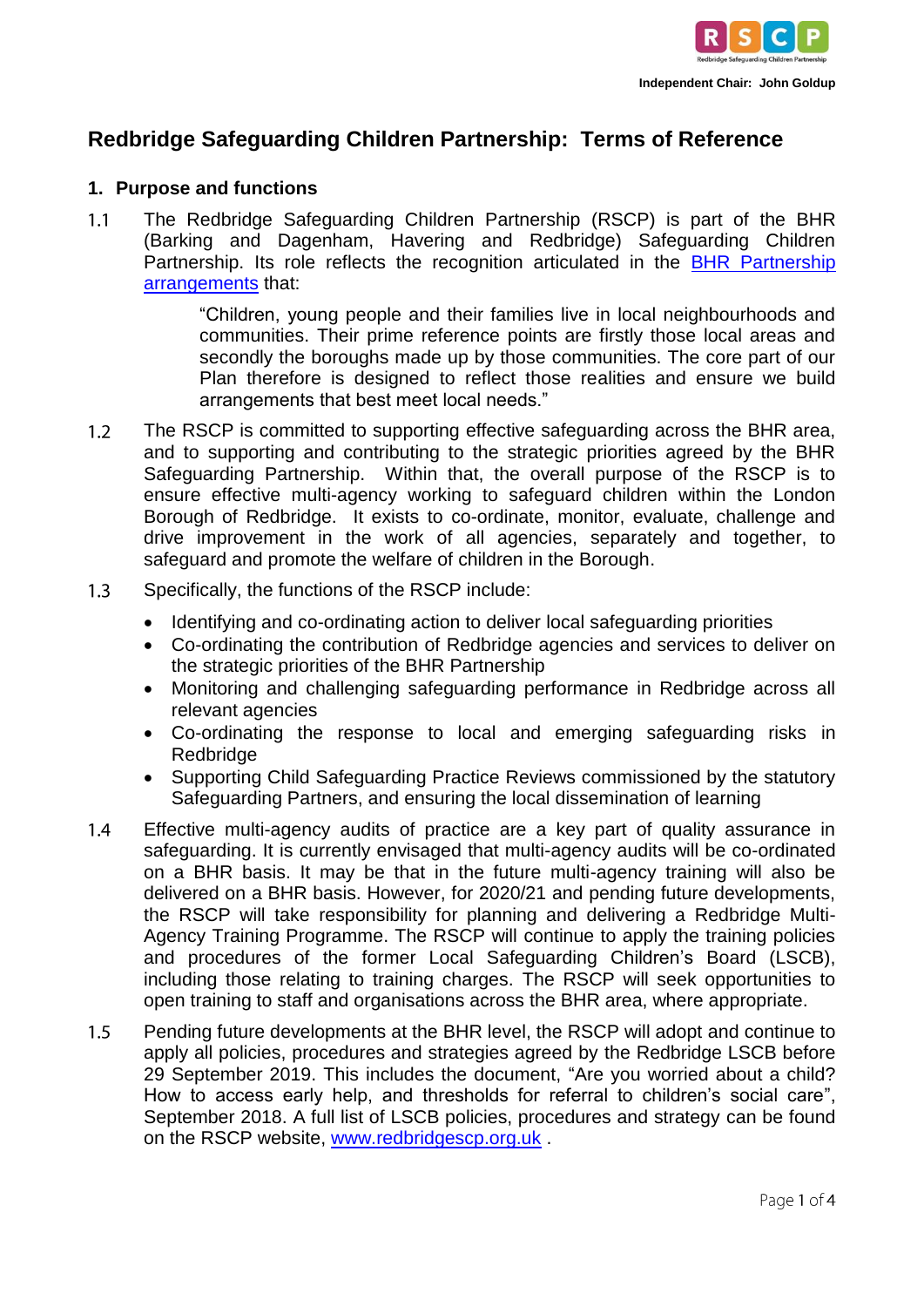

# **Redbridge Safeguarding Children Partnership: Terms of Reference**

#### **1. Purpose and functions**

 $1.1$ The Redbridge Safeguarding Children Partnership (RSCP) is part of the BHR (Barking and Dagenham, Havering and Redbridge) Safeguarding Children Partnership. Its role reflects the recognition articulated in the BHR Partnership [arrangements](https://www.redbridgescp.org.uk/wp-content/uploads/2016/04/BHR-Safeguarding-Partnership-Multi-Agency-Safeguarding-Arrangements-2019.20.pdf) that:

> "Children, young people and their families live in local neighbourhoods and communities. Their prime reference points are firstly those local areas and secondly the boroughs made up by those communities. The core part of our Plan therefore is designed to reflect those realities and ensure we build arrangements that best meet local needs."

- $1.2$ The RSCP is committed to supporting effective safeguarding across the BHR area, and to supporting and contributing to the strategic priorities agreed by the BHR Safeguarding Partnership. Within that, the overall purpose of the RSCP is to ensure effective multi-agency working to safeguard children within the London Borough of Redbridge. It exists to co-ordinate, monitor, evaluate, challenge and drive improvement in the work of all agencies, separately and together, to safeguard and promote the welfare of children in the Borough.
- $1.3$ Specifically, the functions of the RSCP include:
	- Identifying and co-ordinating action to deliver local safeguarding priorities
	- Co-ordinating the contribution of Redbridge agencies and services to deliver on the strategic priorities of the BHR Partnership
	- Monitoring and challenging safeguarding performance in Redbridge across all relevant agencies
	- Co-ordinating the response to local and emerging safeguarding risks in Redbridge
	- Supporting Child Safeguarding Practice Reviews commissioned by the statutory Safeguarding Partners, and ensuring the local dissemination of learning
- $1.4$ Effective multi-agency audits of practice are a key part of quality assurance in safeguarding. It is currently envisaged that multi-agency audits will be co-ordinated on a BHR basis. It may be that in the future multi-agency training will also be delivered on a BHR basis. However, for 2020/21 and pending future developments, the RSCP will take responsibility for planning and delivering a Redbridge Multi-Agency Training Programme. The RSCP will continue to apply the training policies and procedures of the former Local Safeguarding Children's Board (LSCB), including those relating to training charges. The RSCP will seek opportunities to open training to staff and organisations across the BHR area, where appropriate.
- $1.5$ Pending future developments at the BHR level, the RSCP will adopt and continue to apply all policies, procedures and strategies agreed by the Redbridge LSCB before 29 September 2019. This includes the document, "Are you worried about a child? How to access early help, and thresholds for referral to children's social care", September 2018. A full list of LSCB policies, procedures and strategy can be found on the RSCP website, [www.redbridgescp.org.uk](http://www.redbridgescp.org.uk/) .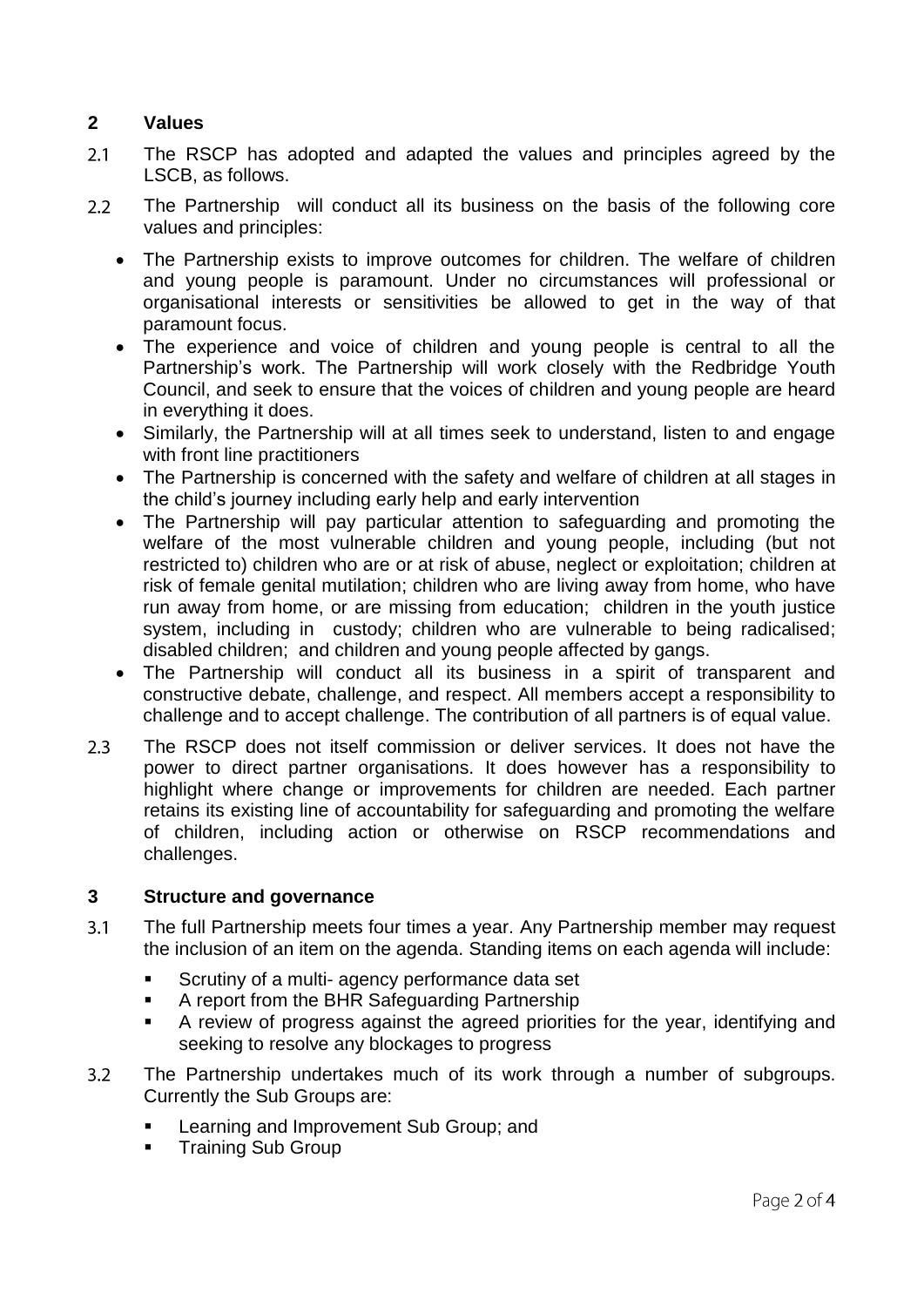## **2 Values**

- $2.1$ The RSCP has adopted and adapted the values and principles agreed by the LSCB, as follows.
- The Partnership will conduct all its business on the basis of the following core  $2.2^{\circ}$ values and principles:
	- The Partnership exists to improve outcomes for children. The welfare of children and young people is paramount. Under no circumstances will professional or organisational interests or sensitivities be allowed to get in the way of that paramount focus.
	- The experience and voice of children and young people is central to all the Partnership's work. The Partnership will work closely with the Redbridge Youth Council, and seek to ensure that the voices of children and young people are heard in everything it does.
	- Similarly, the Partnership will at all times seek to understand, listen to and engage with front line practitioners
	- The Partnership is concerned with the safety and welfare of children at all stages in the child's journey including early help and early intervention
	- The Partnership will pay particular attention to safeguarding and promoting the welfare of the most vulnerable children and young people, including (but not restricted to) children who are or at risk of abuse, neglect or exploitation; children at risk of female genital mutilation; children who are living away from home, who have run away from home, or are missing from education; children in the youth justice system, including in custody; children who are vulnerable to being radicalised; disabled children; and children and young people affected by gangs.
	- The Partnership will conduct all its business in a spirit of transparent and constructive debate, challenge, and respect. All members accept a responsibility to challenge and to accept challenge. The contribution of all partners is of equal value.
- $2.3$ The RSCP does not itself commission or deliver services. It does not have the power to direct partner organisations. It does however has a responsibility to highlight where change or improvements for children are needed. Each partner retains its existing line of accountability for safeguarding and promoting the welfare of children, including action or otherwise on RSCP recommendations and challenges.

#### **3 Structure and governance**

- $3.1$ The full Partnership meets four times a year. Any Partnership member may request the inclusion of an item on the agenda. Standing items on each agenda will include:
	- Scrutiny of a multi- agency performance data set
	- A report from the BHR Safeguarding Partnership
	- A review of progress against the agreed priorities for the year, identifying and seeking to resolve any blockages to progress
- $3.2$ The Partnership undertakes much of its work through a number of subgroups. Currently the Sub Groups are:
	- Learning and Improvement Sub Group; and
	- Training Sub Group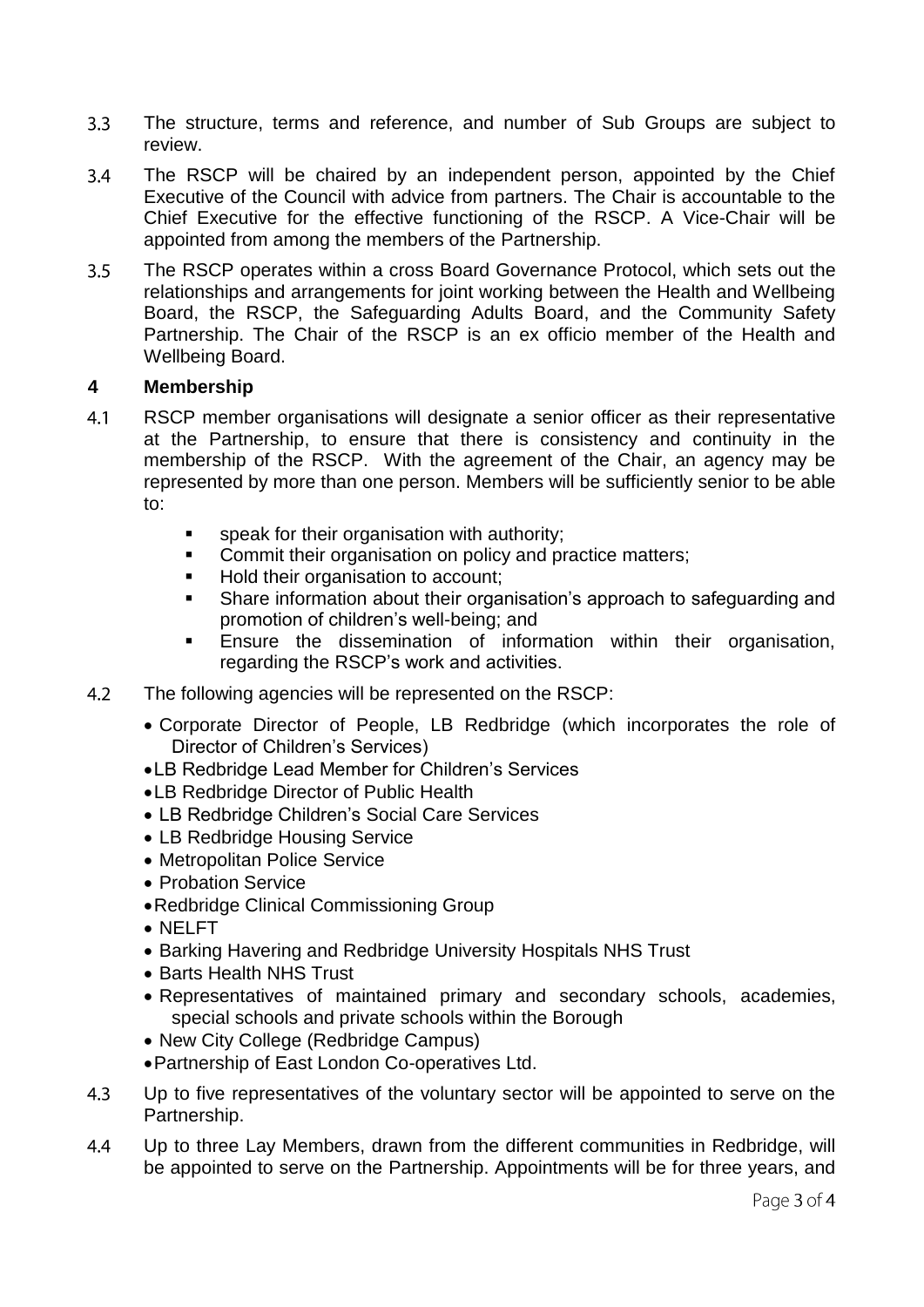- $3.3$ The structure, terms and reference, and number of Sub Groups are subject to review.
- The RSCP will be chaired by an independent person, appointed by the Chief  $3.4$ Executive of the Council with advice from partners. The Chair is accountable to the Chief Executive for the effective functioning of the RSCP. A Vice-Chair will be appointed from among the members of the Partnership.
- $3.5$ The RSCP operates within a cross Board Governance Protocol, which sets out the relationships and arrangements for joint working between the Health and Wellbeing Board, the RSCP, the Safeguarding Adults Board, and the Community Safety Partnership. The Chair of the RSCP is an ex officio member of the Health and Wellbeing Board.

### **4 Membership**

- $4.1$ RSCP member organisations will designate a senior officer as their representative at the Partnership, to ensure that there is consistency and continuity in the membership of the RSCP. With the agreement of the Chair, an agency may be represented by more than one person. Members will be sufficiently senior to be able to:
	- speak for their organisation with authority;
	- **Commit their organisation on policy and practice matters;**
	- Hold their organisation to account;
	- Share information about their organisation's approach to safeguarding and promotion of children's well-being; and
	- Ensure the dissemination of information within their organisation, regarding the RSCP's work and activities.
- $4.2$ The following agencies will be represented on the RSCP:
	- Corporate Director of People, LB Redbridge (which incorporates the role of Director of Children's Services)
	- LB Redbridge Lead Member for Children's Services
	- LB Redbridge Director of Public Health
	- LB Redbridge Children's Social Care Services
	- LB Redbridge Housing Service
	- Metropolitan Police Service
	- Probation Service
	- Redbridge Clinical Commissioning Group
	- NELFT
	- Barking Havering and Redbridge University Hospitals NHS Trust
	- Barts Health NHS Trust
	- Representatives of maintained primary and secondary schools, academies, special schools and private schools within the Borough
	- New City College (Redbridge Campus)
	- Partnership of East London Co-operatives Ltd.
- 4.3 Up to five representatives of the voluntary sector will be appointed to serve on the Partnership.
- Up to three Lay Members, drawn from the different communities in Redbridge, will  $4.4$ be appointed to serve on the Partnership. Appointments will be for three years, and